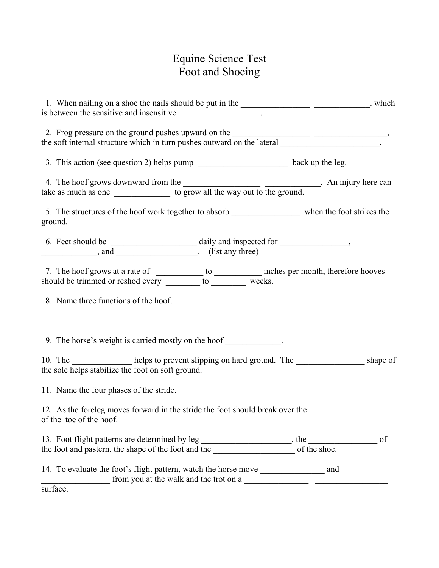## Equine Science Test Foot and Shoeing

| 1. When nailing on a shoe the nails should be put in the _________________________________, which<br>is between the sensitive and insensitive ______________________.                                                                     |  |
|-------------------------------------------------------------------------------------------------------------------------------------------------------------------------------------------------------------------------------------------|--|
| 2. Frog pressure on the ground pushes upward on the <u>contract of the soft internal structure</u> which in turn pushes outward on the lateral <u>structure</u> .                                                                         |  |
|                                                                                                                                                                                                                                           |  |
| 4. The hoof grows downward from the <u>series are to grow all the way out to the ground</u> . An injury here can take as much as one <u>series</u> to grow all the way out to the ground.                                                 |  |
| 5. The structures of the hoof work together to absorb _____________________ when the foot strikes the<br>ground.                                                                                                                          |  |
| $\frac{1}{2}$ , and $\frac{1}{2}$ (list any three)                                                                                                                                                                                        |  |
| 7. The hoof grows at a rate of <u>the set of the set of the set of the set of should</u> be trimmed or reshod every <u>the set of the set of the set of the set of the set of the set of the set of the set of the set of the set of </u> |  |
| 8. Name three functions of the hoof.                                                                                                                                                                                                      |  |
| 9. The horse's weight is carried mostly on the hoof ____________.                                                                                                                                                                         |  |
| 10. The _______________ helps to prevent slipping on hard ground. The _________________ shape of<br>the sole helps stabilize the foot on soft ground.                                                                                     |  |
| 11. Name the four phases of the stride.                                                                                                                                                                                                   |  |
| 12. As the foreleg moves forward in the stride the foot should break over the<br>of the toe of the hoof.                                                                                                                                  |  |
|                                                                                                                                                                                                                                           |  |
| 14. To evaluate the foot's flight pattern, watch the horse move _________________ and<br>from you at the walk and the trot on a                                                                                                           |  |
| surface.                                                                                                                                                                                                                                  |  |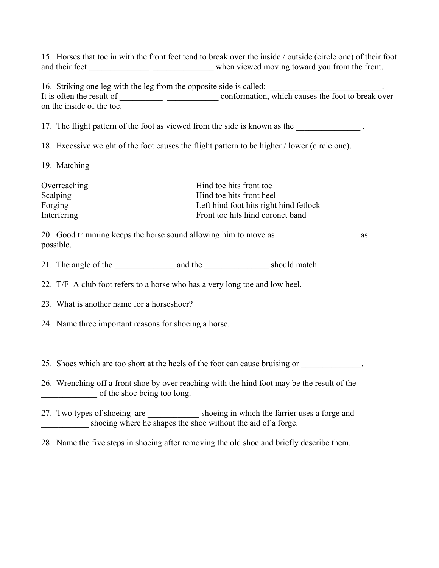15. Horses that toe in with the front feet tend to break over the inside / outside (circle one) of their foot and their feet \_\_\_\_\_\_\_\_\_\_\_\_\_\_ \_\_\_\_\_\_\_\_\_\_\_\_\_\_ when viewed moving toward you from the front.

16. Striking one leg with the leg from the opposite side is called: It is often the result of \_\_\_\_\_\_\_\_\_\_ \_\_\_\_\_\_\_\_\_\_\_\_ conformation, which causes the foot to break over on the inside of the toe.

17. The flight pattern of the foot as viewed from the side is known as the

18. Excessive weight of the foot causes the flight pattern to be higher / lower (circle one).

19. Matching

| Overreaching    | Hind toe hits front toe                |
|-----------------|----------------------------------------|
| <b>Scalping</b> | Hind toe hits front heel               |
| Forging         | Left hind foot hits right hind fetlock |
| Interfering     | Front toe hits hind coronet band       |

20. Good trimming keeps the horse sound allowing him to move as  $\sim$  as possible.

21. The angle of the \_\_\_\_\_\_\_\_\_\_\_\_\_\_ and the \_\_\_\_\_\_\_\_\_\_\_\_\_\_\_ should match.

22. T/F A club foot refers to a horse who has a very long toe and low heel.

23. What is another name for a horseshoer?

24. Name three important reasons for shoeing a horse.

25. Shoes which are too short at the heels of the foot can cause bruising or

26. Wrenching off a front shoe by over reaching with the hind foot may be the result of the of the shoe being too long.

27. Two types of shoeing are shoeing in which the farrier uses a forge and shoeing where he shapes the shoe without the aid of a forge.

28. Name the five steps in shoeing after removing the old shoe and briefly describe them.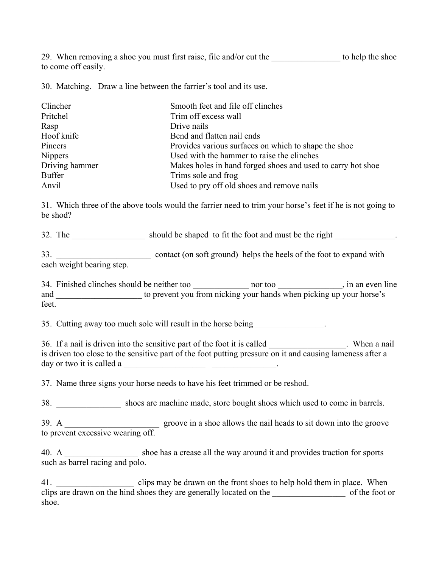29. When removing a shoe you must first raise, file and/or cut the to help the shoe to come off easily.

30. Matching. Draw a line between the farrier's tool and its use.

| Clincher       | Smooth feet and file off clinches                            |
|----------------|--------------------------------------------------------------|
| Pritchel       | Trim off excess wall                                         |
| Rasp           | Drive nails                                                  |
| Hoof knife     | Bend and flatten nail ends                                   |
| Pincers        | Provides various surfaces on which to shape the shoe         |
| <b>Nippers</b> | Used with the hammer to raise the clinches                   |
| Driving hammer | Makes holes in hand forged shoes and used to carry hot shoe. |
| <b>Buffer</b>  | Trims sole and frog                                          |
| Anvil          | Used to pry off old shoes and remove nails                   |

31. Which three of the above tools would the farrier need to trim your horse's feet if he is not going to be shod?

32. The should be shaped to fit the foot and must be the right  $\blacksquare$ 

33. \_\_\_\_\_\_\_\_\_\_\_\_\_\_\_\_\_\_\_\_\_\_ contact (on soft ground) helps the heels of the foot to expand with each weight bearing step.

34. Finished clinches should be neither too hor too and too hor too and in an even line and to prevent you from nicking your hands when picking up your horse's feet.

35. Cutting away too much sole will result in the horse being

36. If a nail is driven into the sensitive part of the foot it is called Theorem . When a nail is driven too close to the sensitive part of the foot putting pressure on it and causing lameness after a day or two it is called a  $\qquad \qquad \qquad$ 

37. Name three signs your horse needs to have his feet trimmed or be reshod.

38. \_\_\_\_\_\_\_\_\_\_\_\_\_\_\_ shoes are machine made, store bought shoes which used to come in barrels.

39. A \_\_\_\_\_\_\_\_\_\_\_\_\_\_\_\_\_\_\_\_\_\_ groove in a shoe allows the nail heads to sit down into the groove to prevent excessive wearing off.

40. A shoe has a crease all the way around it and provides traction for sports such as barrel racing and polo.

the clips may be drawn on the front shoes to help hold them in place. When clips are drawn on the hind shoes they are generally located on the \_\_\_\_\_\_\_\_\_\_\_\_\_\_\_\_\_ of the foot or shoe.